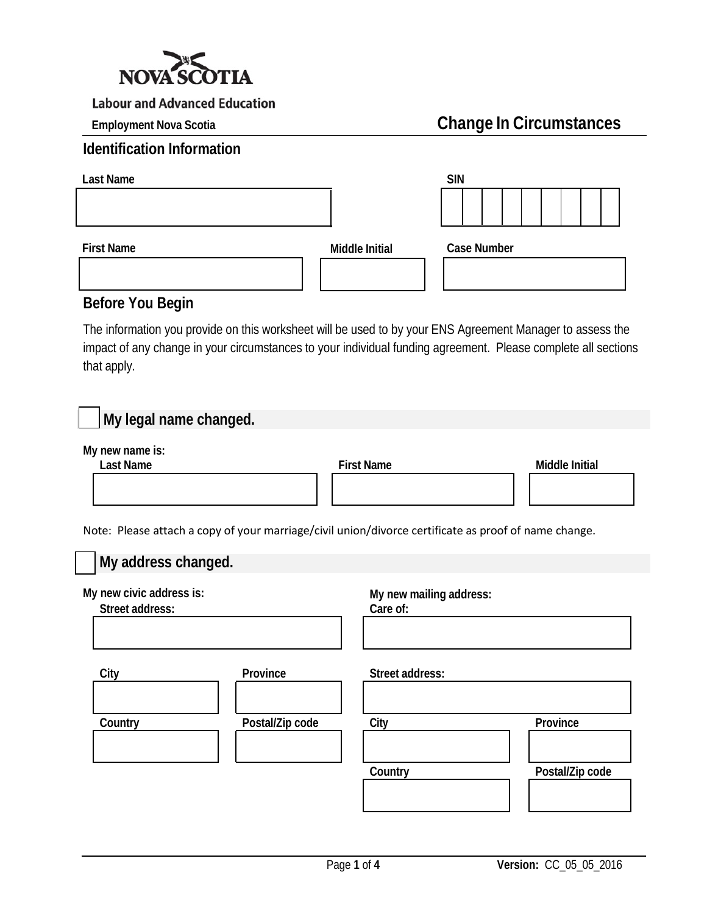

# **Employment Nova Scotia Change In Circumstances**

| <b>Identification Information</b> |                |                    |  |  |
|-----------------------------------|----------------|--------------------|--|--|
| Last Name                         |                | <b>SIN</b>         |  |  |
|                                   |                |                    |  |  |
| <b>First Name</b>                 | Middle Initial | <b>Case Number</b> |  |  |
|                                   |                |                    |  |  |

#### **Before You Begin**

The information you provide on this worksheet will be used to by your ENS Agreement Manager to assess the impact of any change in your circumstances to your individual funding agreement. Please complete all sections that apply.

| My legal name changed.                      |                                                                                                      |
|---------------------------------------------|------------------------------------------------------------------------------------------------------|
| My new name is:<br><b>Last Name</b>         | <b>First Name</b><br>Middle Initial                                                                  |
|                                             | Note: Please attach a copy of your marriage/civil union/divorce certificate as proof of name change. |
| My address changed.                         |                                                                                                      |
| My new civic address is:<br>Street address: | My new mailing address:<br>Care of:                                                                  |
| Province<br>City                            | Street address:                                                                                      |
| Postal/Zip code<br>Country                  | City<br>Province<br>Postal/Zip code<br>Country                                                       |
|                                             |                                                                                                      |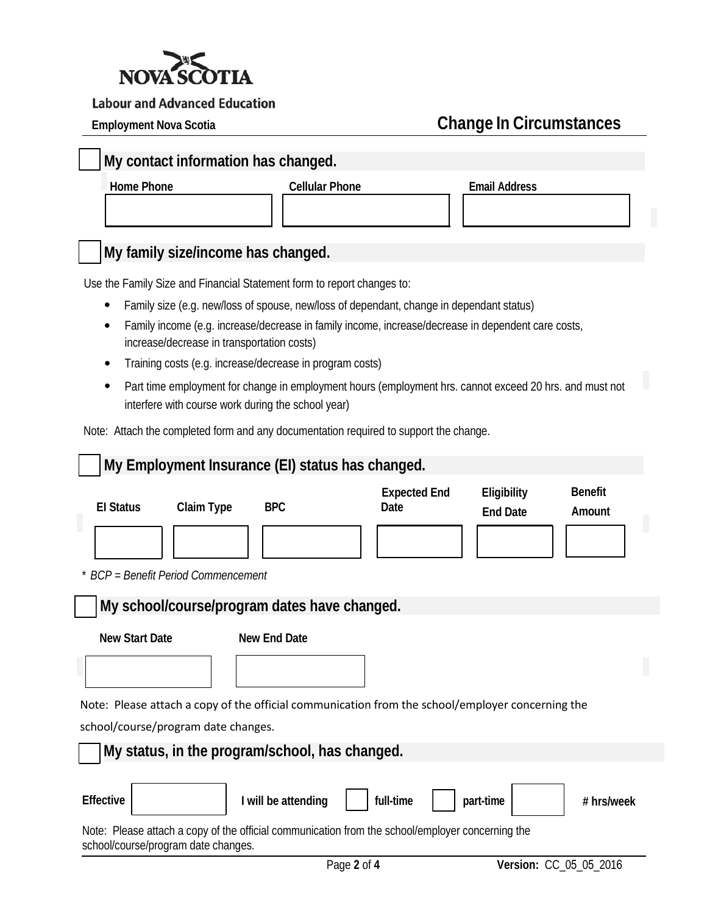

# **Employment Nova Scotia Change In Circumstances**

### **My contact information has changed.**

**Home Phone Cellular Phone Email Address**

## **My family size/income has changed.**

Use the Family Size and Financial Statement form to report changes to:

- Family size (e.g. new/loss of spouse, new/loss of dependant, change in dependant status)
- Family income (e.g. increase/decrease in family income, increase/decrease in dependent care costs, increase/decrease in transportation costs)
- Training costs (e.g. increase/decrease in program costs)
- Part time employment for change in employment hours (employment hrs. cannot exceed 20 hrs. and must not interfere with course work during the school year)

Note: Attach the completed form and any documentation required to support the change.

| My Employment Insurance (EI) status has changed.                                                                                                                                                                           |                             |                                |                          |  |
|----------------------------------------------------------------------------------------------------------------------------------------------------------------------------------------------------------------------------|-----------------------------|--------------------------------|--------------------------|--|
| <b>BPC</b><br><b>El Status</b><br>Claim Type<br>* BCP = Benefit Period Commencement                                                                                                                                        | <b>Expected End</b><br>Date | Eligibility<br><b>End Date</b> | <b>Benefit</b><br>Amount |  |
| My school/course/program dates have changed.                                                                                                                                                                               |                             |                                |                          |  |
| <b>New Start Date</b><br>New End Date                                                                                                                                                                                      |                             |                                |                          |  |
| Note: Please attach a copy of the official communication from the school/employer concerning the                                                                                                                           |                             |                                |                          |  |
| school/course/program date changes.                                                                                                                                                                                        |                             |                                |                          |  |
| My status, in the program/school, has changed.                                                                                                                                                                             |                             |                                |                          |  |
| <b>Effective</b><br>I will be attending<br>full-time<br>part-time<br># hrs/week<br>Note: Please attach a copy of the official communication from the school/employer concerning the<br>school/course/program date changes. |                             |                                |                          |  |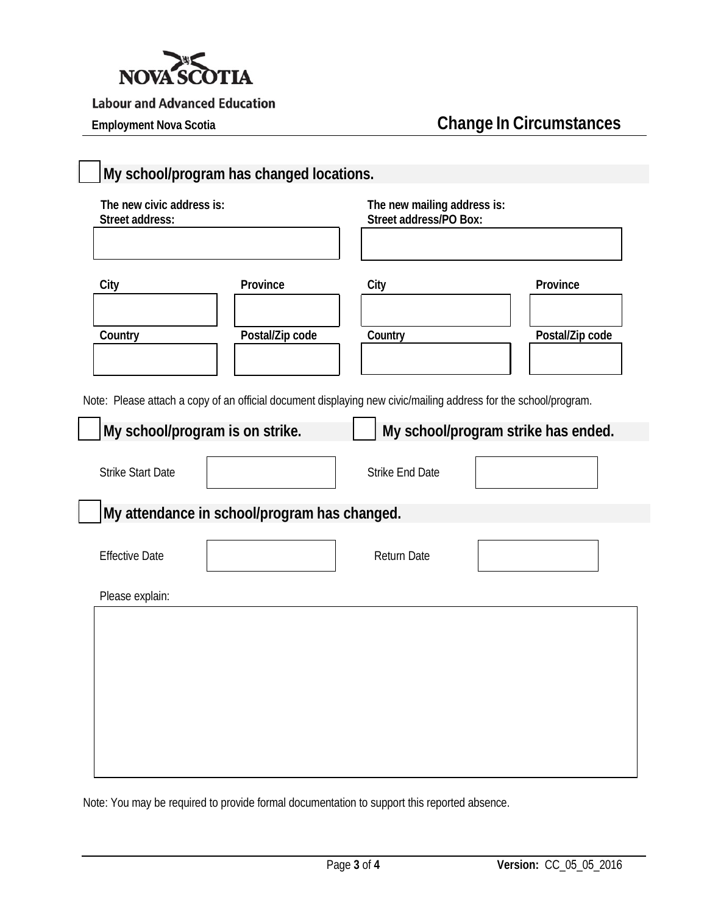

# **Employment Nova Scotia Change In Circumstances**

| The new civic address is:<br>Street address: |                                                                                                                                                    | The new mailing address is:<br>Street address/PO Box: |                                     |
|----------------------------------------------|----------------------------------------------------------------------------------------------------------------------------------------------------|-------------------------------------------------------|-------------------------------------|
| City                                         | Province                                                                                                                                           | City                                                  | Province                            |
| Country                                      | Postal/Zip code                                                                                                                                    | Country                                               | Postal/Zip code                     |
|                                              | Note: Please attach a copy of an official document displaying new civic/mailing address for the school/program.<br>My school/program is on strike. |                                                       | My school/program strike has ended. |
| <b>Strike Start Date</b>                     |                                                                                                                                                    | <b>Strike End Date</b>                                |                                     |
|                                              | My attendance in school/program has changed.                                                                                                       |                                                       |                                     |
| <b>Effective Date</b>                        |                                                                                                                                                    | <b>Return Date</b>                                    |                                     |
| Please explain:                              |                                                                                                                                                    |                                                       |                                     |
|                                              |                                                                                                                                                    |                                                       |                                     |
|                                              |                                                                                                                                                    |                                                       |                                     |
|                                              |                                                                                                                                                    |                                                       |                                     |
|                                              |                                                                                                                                                    |                                                       |                                     |

Note: You may be required to provide formal documentation to support this reported absence.